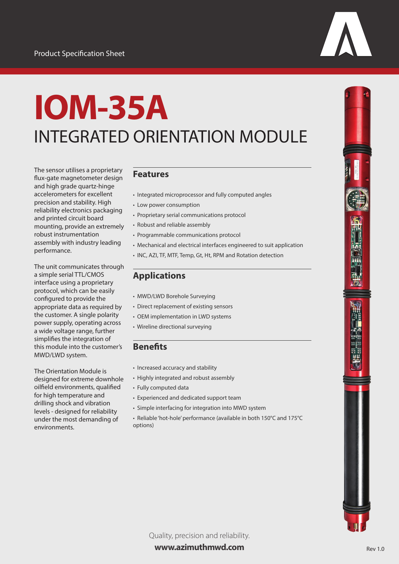# **IOM-35A** INTEGRATED ORIENTATION MODULE

The sensor utilises a proprietary flux-gate magnetometer design and high grade quartz-hinge accelerometers for excellent precision and stability. High reliability electronics packaging and printed circuit board mounting, provide an extremely robust instrumentation assembly with industry leading performance.

The unit communicates through a simple serial TTL/CMOS interface using a proprietary protocol, which can be easily configured to provide the appropriate data as required by the customer. A single polarity power supply, operating across a wide voltage range, further simplifies the integration of this module into the customer's MWD/LWD system.

The Orientation Module is designed for extreme downhole oilfield environments, qualified for high temperature and drilling shock and vibration levels - designed for reliability under the most demanding of environments.

#### **Features**

- Integrated microprocessor and fully computed angles
- Low power consumption
- Proprietary serial communications protocol
- Robust and reliable assembly
- Programmable communications protocol
- Mechanical and electrical interfaces engineered to suit application
- INC, AZI, TF, MTF, Temp, Gt, Ht, RPM and Rotation detection

### **Applications**

- MWD/LWD Borehole Surveying
- Direct replacement of existing sensors
- OEM implementation in LWD systems
- Wireline directional surveying

#### **Benefits**

- Increased accuracy and stability
- Highly integrated and robust assembly
- Fully computed data
- Experienced and dedicated support team
- Simple interfacing for integration into MWD system
- Reliable 'hot-hole' performance (available in both 150°C and 175°C options)

Quality, precision and reliability. **www.azimuthmwd.com**